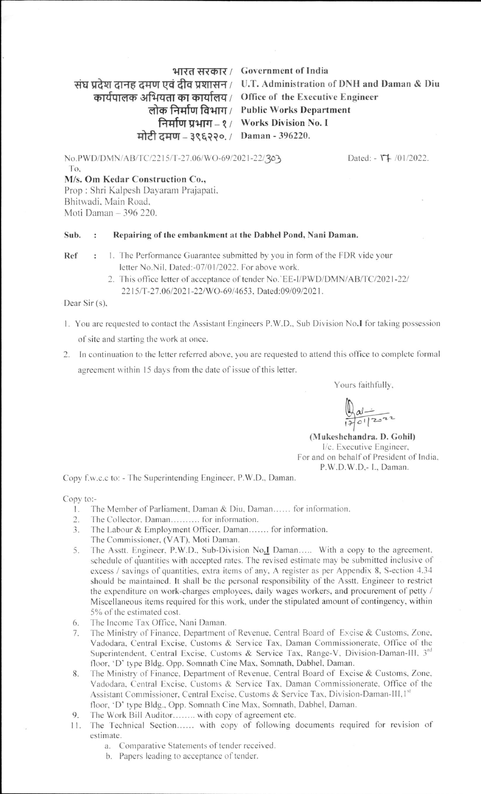## भारत सरकार / Government of India संघ प्रदेश दानह दमण एवं दीव प्रशासन / U.T. Administration of DNH and Daman & Diu कार्यपालक अभियता का कार्यालय / Office of the Executive Engineer लोक निर्माण विभाग / Public Works Department निर्माण प्रभाग - १ / Works Division No. I मोटी दमण - ३९६२२०. / Daman - 396220.

No.PWD/DMN/AB/TC/2215/T-27.06/WO-69/2021-22/303  $To.$ M/s. Om Kedar Construction Co.,

Prop: Shri Kalpesh Dayaram Prajapati, Bhitwadi, Main Road, Moti Daman - 396 220.

## Sub. Repairing of the embankment at the Dabhel Pond, Nani Daman.

- Ref 1. The Performance Guarantee submitted by you in form of the FDR vide your  $\bullet$ letter No.Nil, Dated:-07/01/2022. For above work.
	- 2. This office letter of acceptance of tender No. EE-I/PWD/DMN/AB/TC/2021-22/ 2215/T-27.06/2021-22/WO-69/4653, Dated:09/09/2021.

Dear Sir $(s)$ ,

- 1. You are requested to contact the Assistant Engineers P.W.D., Sub Division No.I for taking possession of site and starting the work at once.
- 2. In continuation to the letter referred above, you are requested to attend this office to complete formal agreement within 15 days from the date of issue of this letter.

Yours faithfully,

 $\frac{1}{2}$  al  $\frac{1}{2}$ 

Dated: - 14 /01/2022.

(Mukeshchandra. D. Gohil) I/c. Executive Engineer, For and on behalf of President of India, P.W.D.W.D.- I., Daman.

Copy f.w.c.c to: - The Superintending Engineer, P.W.D., Daman.

Copy to:-

- $\mathbf{1}$ . The Member of Parliament, Daman & Diu, Daman...... for information.
- $\frac{2}{3}$ . The Collector, Daman.......... for information.
- The Labour & Employment Officer, Daman....... for information.
- The Commissioner, (VAT), Moti Daman.
- The Asstt. Engineer, P.W.D., Sub-Division No.I Daman..... With a copy to the agreement, 5. schedule of quantities with accepted rates. The revised estimate may be submitted inclusive of excess / savings of quantities, extra items of any, A register as per Appendix 8, S-ection 4.34 should be maintained. It shall be the personal responsibility of the Asstt. Engineer to restrict the expenditure on work-charges employees, daily wages workers, and procurement of petty / Miscellaneous items required for this work, under the stipulated amount of contingency, within 5% of the estimated cost.
- The Income Tax Office, Nani Daman. 6
- The Ministry of Finance, Department of Revenue, Central Board of Excise & Customs, Zone, 7. Vadodara, Central Excise, Customs & Service Tax, Daman Commissionerate, Office of the Superintendent, Central Excise, Customs & Service Tax, Range-V, Division-Daman-III, 3rd floor, 'D' type Bldg. Opp. Somnath Cine Max, Somnath, Dabhel, Daman.
- The Ministry of Finance, Department of Revenue, Central Board of Excise & Customs, Zone, 8 Vadodara, Central Excise, Customs & Service Tax, Daman Commissionerate, Office of the Assistant Commissioner, Central Excise, Customs & Service Tax, Division-Daman-III, 1<sup>8</sup> floor, 'D' type Bldg., Opp. Somnath Cine Max, Somnath, Dabhel, Daman.
- The Work Bill Auditor........ with copy of agreement etc. 9.
- 11. The Technical Section...... with copy of following documents required for revision of estimate.
	- a. Comparative Statements of tender received.
	- b. Papers leading to acceptance of tender.